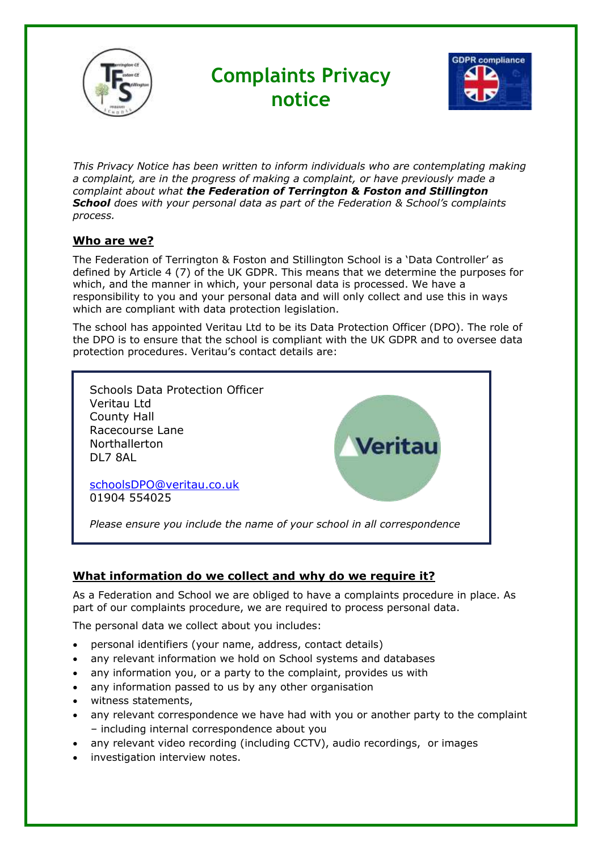

# **Complaints Privacy notice**



*This Privacy Notice has been written to inform individuals who are contemplating making a complaint, are in the progress of making a complaint, or have previously made a complaint about what the Federation of Terrington & Foston and Stillington School does with your personal data as part of the Federation & School's complaints process.*

## **Who are we?**

The Federation of Terrington & Foston and Stillington School is a 'Data Controller' as defined by Article 4 (7) of the UK GDPR. This means that we determine the purposes for which, and the manner in which, your personal data is processed. We have a responsibility to you and your personal data and will only collect and use this in ways which are compliant with data protection legislation.

The school has appointed Veritau Ltd to be its Data Protection Officer (DPO). The role of the DPO is to ensure that the school is compliant with the UK GDPR and to oversee data protection procedures. Veritau's contact details are:



## **What information do we collect and why do we require it?**

As a Federation and School we are obliged to have a complaints procedure in place. As part of our complaints procedure, we are required to process personal data.

The personal data we collect about you includes:

- personal identifiers (your name, address, contact details)
- any relevant information we hold on School systems and databases
- any information you, or a party to the complaint, provides us with
- any information passed to us by any other organisation
- witness statements,
- any relevant correspondence we have had with you or another party to the complaint – including internal correspondence about you
- any relevant video recording (including CCTV), audio recordings, or images
- investigation interview notes.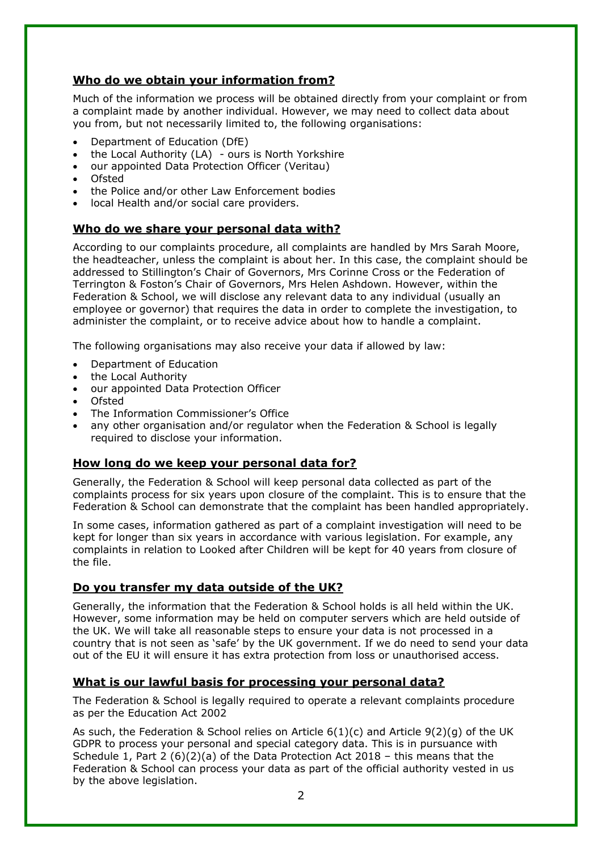## **Who do we obtain your information from?**

Much of the information we process will be obtained directly from your complaint or from a complaint made by another individual. However, we may need to collect data about you from, but not necessarily limited to, the following organisations:

- Department of Education (DfE)
- the Local Authority (LA) ours is North Yorkshire
- our appointed Data Protection Officer (Veritau)
- Ofsted
- the Police and/or other Law Enforcement bodies
- local Health and/or social care providers.

#### **Who do we share your personal data with?**

According to our complaints procedure, all complaints are handled by Mrs Sarah Moore, the headteacher, unless the complaint is about her. In this case, the complaint should be addressed to Stillington's Chair of Governors, Mrs Corinne Cross or the Federation of Terrington & Foston's Chair of Governors, Mrs Helen Ashdown. However, within the Federation & School, we will disclose any relevant data to any individual (usually an employee or governor) that requires the data in order to complete the investigation, to administer the complaint, or to receive advice about how to handle a complaint.

The following organisations may also receive your data if allowed by law:

- Department of Education
- the Local Authority
- our appointed Data Protection Officer
- Ofsted
- The Information Commissioner's Office
- any other organisation and/or regulator when the Federation & School is legally required to disclose your information.

#### **How long do we keep your personal data for?**

Generally, the Federation & School will keep personal data collected as part of the complaints process for six years upon closure of the complaint. This is to ensure that the Federation & School can demonstrate that the complaint has been handled appropriately.

In some cases, information gathered as part of a complaint investigation will need to be kept for longer than six years in accordance with various legislation. For example, any complaints in relation to Looked after Children will be kept for 40 years from closure of the file.

#### **Do you transfer my data outside of the UK?**

Generally, the information that the Federation & School holds is all held within the UK. However, some information may be held on computer servers which are held outside of the UK. We will take all reasonable steps to ensure your data is not processed in a country that is not seen as 'safe' by the UK government. If we do need to send your data out of the EU it will ensure it has extra protection from loss or unauthorised access.

#### **What is our lawful basis for processing your personal data?**

The Federation & School is legally required to operate a relevant complaints procedure as per the Education Act 2002

As such, the Federation & School relies on Article 6(1)(c) and Article 9(2)(g) of the UK GDPR to process your personal and special category data. This is in pursuance with Schedule 1, Part 2 (6)(2)(a) of the Data Protection Act 2018 – this means that the Federation & School can process your data as part of the official authority vested in us by the above legislation.